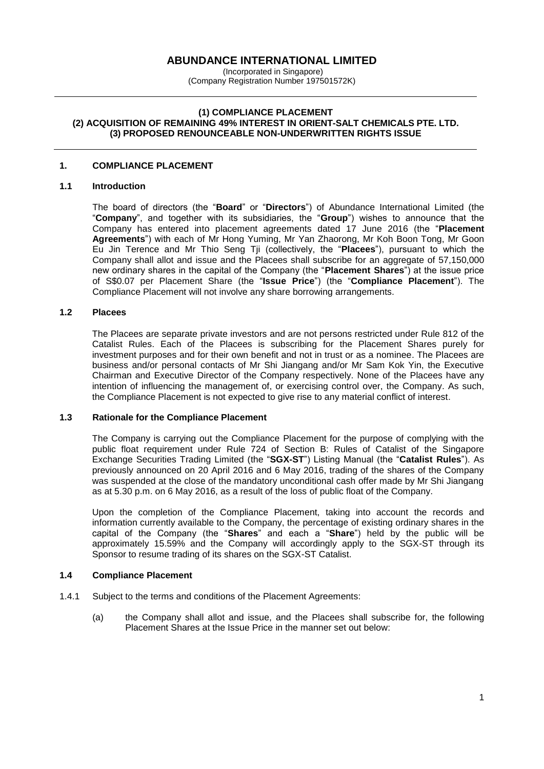# **ABUNDANCE INTERNATIONAL LIMITED**

(Incorporated in Singapore) (Company Registration Number 197501572K)

### **(1) COMPLIANCE PLACEMENT (2) ACQUISITION OF REMAINING 49% INTEREST IN ORIENT-SALT CHEMICALS PTE. LTD. (3) PROPOSED RENOUNCEABLE NON-UNDERWRITTEN RIGHTS ISSUE**

# **1. COMPLIANCE PLACEMENT**

# **1.1 Introduction**

The board of directors (the "**Board**" or "**Directors**") of Abundance International Limited (the "**Company**", and together with its subsidiaries, the "**Group**") wishes to announce that the Company has entered into placement agreements dated 17 June 2016 (the "**Placement Agreements**") with each of Mr Hong Yuming, Mr Yan Zhaorong, Mr Koh Boon Tong, Mr Goon Eu Jin Terence and Mr Thio Seng Tji (collectively, the "**Placees**"), pursuant to which the Company shall allot and issue and the Placees shall subscribe for an aggregate of 57,150,000 new ordinary shares in the capital of the Company (the "**Placement Shares**") at the issue price of S\$0.07 per Placement Share (the "**Issue Price**") (the "**Compliance Placement**"). The Compliance Placement will not involve any share borrowing arrangements.

#### **1.2 Placees**

The Placees are separate private investors and are not persons restricted under Rule 812 of the Catalist Rules. Each of the Placees is subscribing for the Placement Shares purely for investment purposes and for their own benefit and not in trust or as a nominee. The Placees are business and/or personal contacts of Mr Shi Jiangang and/or Mr Sam Kok Yin, the Executive Chairman and Executive Director of the Company respectively. None of the Placees have any intention of influencing the management of, or exercising control over, the Company. As such, the Compliance Placement is not expected to give rise to any material conflict of interest.

#### **1.3 Rationale for the Compliance Placement**

The Company is carrying out the Compliance Placement for the purpose of complying with the public float requirement under Rule 724 of Section B: Rules of Catalist of the Singapore Exchange Securities Trading Limited (the "**SGX-ST**") Listing Manual (the "**Catalist Rules**"). As previously announced on 20 April 2016 and 6 May 2016, trading of the shares of the Company was suspended at the close of the mandatory unconditional cash offer made by Mr Shi Jiangang as at 5.30 p.m. on 6 May 2016, as a result of the loss of public float of the Company.

Upon the completion of the Compliance Placement, taking into account the records and information currently available to the Company, the percentage of existing ordinary shares in the capital of the Company (the "**Shares**" and each a "**Share**") held by the public will be approximately 15.59% and the Company will accordingly apply to the SGX-ST through its Sponsor to resume trading of its shares on the SGX-ST Catalist.

# **1.4 Compliance Placement**

- 1.4.1 Subject to the terms and conditions of the Placement Agreements:
	- (a) the Company shall allot and issue, and the Placees shall subscribe for, the following Placement Shares at the Issue Price in the manner set out below: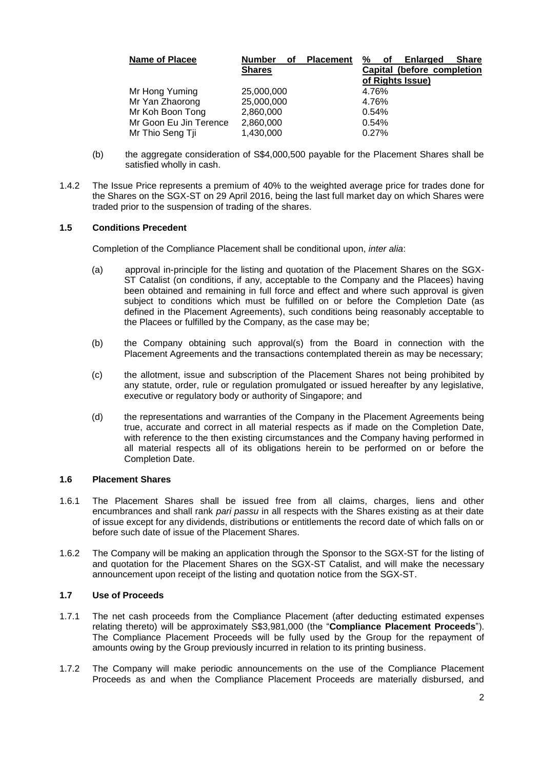| <b>Name of Placee</b>  | <b>Number</b><br>οf | <b>Placement</b> | ℅<br><b>Share</b><br><b>Enlarged</b><br>οf |
|------------------------|---------------------|------------------|--------------------------------------------|
|                        | <b>Shares</b>       |                  | Capital (before completion                 |
|                        |                     |                  | of Rights Issue)                           |
| Mr Hong Yuming         | 25,000,000          |                  | 4.76%                                      |
| Mr Yan Zhaorong        | 25,000,000          |                  | 4.76%                                      |
| Mr Koh Boon Tong       | 2,860,000           |                  | 0.54%                                      |
| Mr Goon Eu Jin Terence | 2,860,000           |                  | 0.54%                                      |
| Mr Thio Seng Tji       | 1,430,000           |                  | 0.27%                                      |

- (b) the aggregate consideration of S\$4,000,500 payable for the Placement Shares shall be satisfied wholly in cash.
- 1.4.2 The Issue Price represents a premium of 40% to the weighted average price for trades done for the Shares on the SGX-ST on 29 April 2016, being the last full market day on which Shares were traded prior to the suspension of trading of the shares.

# **1.5 Conditions Precedent**

Completion of the Compliance Placement shall be conditional upon, *inter alia*:

- (a) approval in-principle for the listing and quotation of the Placement Shares on the SGX-ST Catalist (on conditions, if any, acceptable to the Company and the Placees) having been obtained and remaining in full force and effect and where such approval is given subject to conditions which must be fulfilled on or before the Completion Date (as defined in the Placement Agreements), such conditions being reasonably acceptable to the Placees or fulfilled by the Company, as the case may be;
- (b) the Company obtaining such approval(s) from the Board in connection with the Placement Agreements and the transactions contemplated therein as may be necessary;
- (c) the allotment, issue and subscription of the Placement Shares not being prohibited by any statute, order, rule or regulation promulgated or issued hereafter by any legislative, executive or regulatory body or authority of Singapore; and
- (d) the representations and warranties of the Company in the Placement Agreements being true, accurate and correct in all material respects as if made on the Completion Date, with reference to the then existing circumstances and the Company having performed in all material respects all of its obligations herein to be performed on or before the Completion Date.

### **1.6 Placement Shares**

- 1.6.1 The Placement Shares shall be issued free from all claims, charges, liens and other encumbrances and shall rank *pari passu* in all respects with the Shares existing as at their date of issue except for any dividends, distributions or entitlements the record date of which falls on or before such date of issue of the Placement Shares.
- 1.6.2 The Company will be making an application through the Sponsor to the SGX-ST for the listing of and quotation for the Placement Shares on the SGX-ST Catalist, and will make the necessary announcement upon receipt of the listing and quotation notice from the SGX-ST.

# **1.7 Use of Proceeds**

- 1.7.1 The net cash proceeds from the Compliance Placement (after deducting estimated expenses relating thereto) will be approximately S\$3,981,000 (the "**Compliance Placement Proceeds**"). The Compliance Placement Proceeds will be fully used by the Group for the repayment of amounts owing by the Group previously incurred in relation to its printing business.
- 1.7.2 The Company will make periodic announcements on the use of the Compliance Placement Proceeds as and when the Compliance Placement Proceeds are materially disbursed, and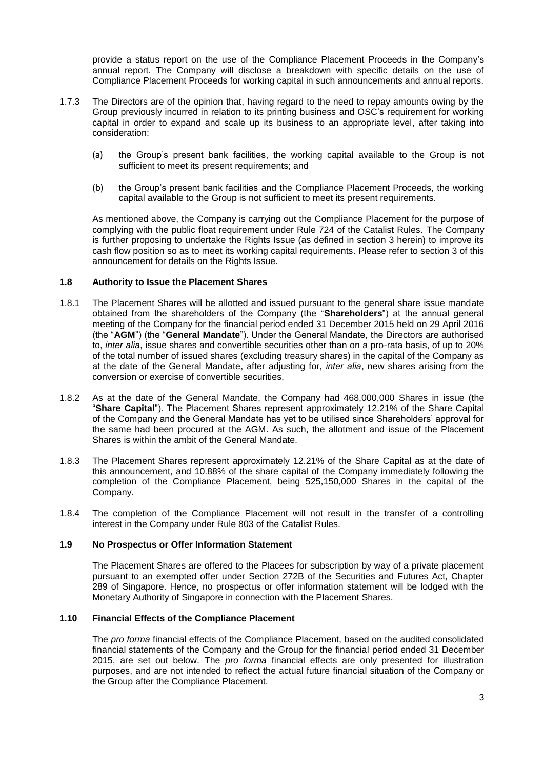provide a status report on the use of the Compliance Placement Proceeds in the Company's annual report. The Company will disclose a breakdown with specific details on the use of Compliance Placement Proceeds for working capital in such announcements and annual reports.

- 1.7.3 The Directors are of the opinion that, having regard to the need to repay amounts owing by the Group previously incurred in relation to its printing business and OSC's requirement for working capital in order to expand and scale up its business to an appropriate level, after taking into consideration:
	- (a) the Group's present bank facilities, the working capital available to the Group is not sufficient to meet its present requirements; and
	- (b) the Group's present bank facilities and the Compliance Placement Proceeds, the working capital available to the Group is not sufficient to meet its present requirements.

As mentioned above, the Company is carrying out the Compliance Placement for the purpose of complying with the public float requirement under Rule 724 of the Catalist Rules. The Company is further proposing to undertake the Rights Issue (as defined in section 3 herein) to improve its cash flow position so as to meet its working capital requirements. Please refer to section 3 of this announcement for details on the Rights Issue.

# **1.8 Authority to Issue the Placement Shares**

- 1.8.1 The Placement Shares will be allotted and issued pursuant to the general share issue mandate obtained from the shareholders of the Company (the "**Shareholders**") at the annual general meeting of the Company for the financial period ended 31 December 2015 held on 29 April 2016 (the "**AGM**") (the "**General Mandate**"). Under the General Mandate, the Directors are authorised to, *inter alia*, issue shares and convertible securities other than on a pro-rata basis, of up to 20% of the total number of issued shares (excluding treasury shares) in the capital of the Company as at the date of the General Mandate, after adjusting for, *inter alia*, new shares arising from the conversion or exercise of convertible securities.
- 1.8.2 As at the date of the General Mandate, the Company had 468,000,000 Shares in issue (the "**Share Capital**"). The Placement Shares represent approximately 12.21% of the Share Capital of the Company and the General Mandate has yet to be utilised since Shareholders' approval for the same had been procured at the AGM. As such, the allotment and issue of the Placement Shares is within the ambit of the General Mandate.
- 1.8.3 The Placement Shares represent approximately 12.21% of the Share Capital as at the date of this announcement, and 10.88% of the share capital of the Company immediately following the completion of the Compliance Placement, being 525,150,000 Shares in the capital of the Company.
- 1.8.4 The completion of the Compliance Placement will not result in the transfer of a controlling interest in the Company under Rule 803 of the Catalist Rules.

## **1.9 No Prospectus or Offer Information Statement**

The Placement Shares are offered to the Placees for subscription by way of a private placement pursuant to an exempted offer under Section 272B of the Securities and Futures Act, Chapter 289 of Singapore. Hence, no prospectus or offer information statement will be lodged with the Monetary Authority of Singapore in connection with the Placement Shares.

### **1.10 Financial Effects of the Compliance Placement**

The *pro forma* financial effects of the Compliance Placement, based on the audited consolidated financial statements of the Company and the Group for the financial period ended 31 December 2015, are set out below. The *pro forma* financial effects are only presented for illustration purposes, and are not intended to reflect the actual future financial situation of the Company or the Group after the Compliance Placement.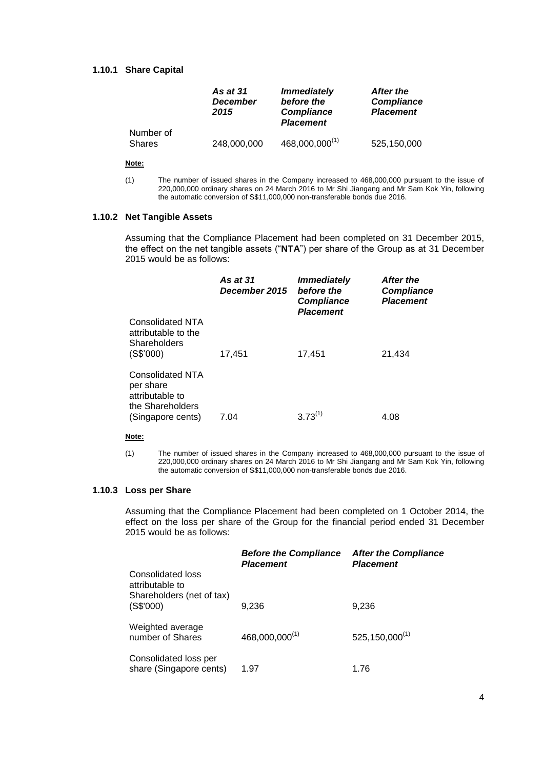# **1.10.1 Share Capital**

|           | <b>As at 31</b><br><b>December</b><br>2015 | <i><b>Immediately</b></i><br>before the<br><b>Compliance</b><br><b>Placement</b> | After the<br><b>Compliance</b><br><b>Placement</b> |
|-----------|--------------------------------------------|----------------------------------------------------------------------------------|----------------------------------------------------|
| Number of |                                            |                                                                                  |                                                    |
| Shares    | 248,000,000                                | $468,000,000^{(1)}$                                                              | 525,150,000                                        |

#### **Note:**

(1) The number of issued shares in the Company increased to 468,000,000 pursuant to the issue of 220,000,000 ordinary shares on 24 March 2016 to Mr Shi Jiangang and Mr Sam Kok Yin, following the automatic conversion of S\$11,000,000 non-transferable bonds due 2016.

#### **1.10.2 Net Tangible Assets**

Assuming that the Compliance Placement had been completed on 31 December 2015, the effect on the net tangible assets ("**NTA**") per share of the Group as at 31 December 2015 would be as follows:

|                                                                                           | As at 31<br>December 2015 | <b>Immediately</b><br>before the<br><b>Compliance</b><br><b>Placement</b> | After the<br><b>Compliance</b><br><b>Placement</b> |
|-------------------------------------------------------------------------------------------|---------------------------|---------------------------------------------------------------------------|----------------------------------------------------|
| Consolidated NTA<br>attributable to the<br>Shareholders<br>(S\$'000)                      | 17,451                    | 17,451                                                                    | 21,434                                             |
| Consolidated NTA<br>per share<br>attributable to<br>the Shareholders<br>(Singapore cents) | 7.04                      | $3.73^{(1)}$                                                              | 4.08                                               |

#### **Note:**

(1) The number of issued shares in the Company increased to 468,000,000 pursuant to the issue of 220,000,000 ordinary shares on 24 March 2016 to Mr Shi Jiangang and Mr Sam Kok Yin, following the automatic conversion of S\$11,000,000 non-transferable bonds due 2016.

#### **1.10.3 Loss per Share**

Assuming that the Compliance Placement had been completed on 1 October 2014, the effect on the loss per share of the Group for the financial period ended 31 December 2015 would be as follows:

|                                                                          | <b>Before the Compliance</b><br><b>Placement</b> | <b>After the Compliance</b><br><b>Placement</b> |
|--------------------------------------------------------------------------|--------------------------------------------------|-------------------------------------------------|
| <b>Consolidated loss</b><br>attributable to<br>Shareholders (net of tax) |                                                  |                                                 |
| (S\$'000)                                                                | 9,236                                            | 9,236                                           |
| Weighted average<br>number of Shares                                     | 468,000,000(1)                                   | $525, 150, 000^{(1)}$                           |
| Consolidated loss per<br>share (Singapore cents)                         | 1.97                                             | 1.76                                            |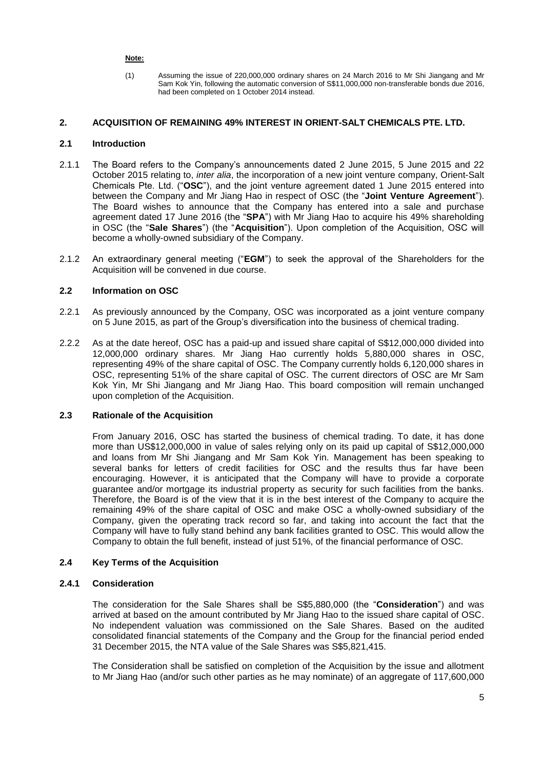### **Note:**

(1) Assuming the issue of 220,000,000 ordinary shares on 24 March 2016 to Mr Shi Jiangang and Mr Sam Kok Yin, following the automatic conversion of S\$11,000,000 non-transferable bonds due 2016, had been completed on 1 October 2014 instead.

# **2. ACQUISITION OF REMAINING 49% INTEREST IN ORIENT-SALT CHEMICALS PTE. LTD.**

# **2.1 Introduction**

- 2.1.1 The Board refers to the Company's announcements dated 2 June 2015, 5 June 2015 and 22 October 2015 relating to, *inter alia*, the incorporation of a new joint venture company, Orient-Salt Chemicals Pte. Ltd. ("**OSC**"), and the joint venture agreement dated 1 June 2015 entered into between the Company and Mr Jiang Hao in respect of OSC (the "**Joint Venture Agreement**"). The Board wishes to announce that the Company has entered into a sale and purchase agreement dated 17 June 2016 (the "**SPA**") with Mr Jiang Hao to acquire his 49% shareholding in OSC (the "**Sale Shares**") (the "**Acquisition**"). Upon completion of the Acquisition, OSC will become a wholly-owned subsidiary of the Company.
- 2.1.2 An extraordinary general meeting ("**EGM**") to seek the approval of the Shareholders for the Acquisition will be convened in due course.

# **2.2 Information on OSC**

- 2.2.1 As previously announced by the Company, OSC was incorporated as a joint venture company on 5 June 2015, as part of the Group's diversification into the business of chemical trading.
- 2.2.2 As at the date hereof, OSC has a paid-up and issued share capital of S\$12,000,000 divided into 12,000,000 ordinary shares. Mr Jiang Hao currently holds 5,880,000 shares in OSC, representing 49% of the share capital of OSC. The Company currently holds 6,120,000 shares in OSC, representing 51% of the share capital of OSC. The current directors of OSC are Mr Sam Kok Yin, Mr Shi Jiangang and Mr Jiang Hao. This board composition will remain unchanged upon completion of the Acquisition.

### **2.3 Rationale of the Acquisition**

From January 2016, OSC has started the business of chemical trading. To date, it has done more than US\$12,000,000 in value of sales relying only on its paid up capital of S\$12,000,000 and loans from Mr Shi Jiangang and Mr Sam Kok Yin. Management has been speaking to several banks for letters of credit facilities for OSC and the results thus far have been encouraging. However, it is anticipated that the Company will have to provide a corporate guarantee and/or mortgage its industrial property as security for such facilities from the banks. Therefore, the Board is of the view that it is in the best interest of the Company to acquire the remaining 49% of the share capital of OSC and make OSC a wholly-owned subsidiary of the Company, given the operating track record so far, and taking into account the fact that the Company will have to fully stand behind any bank facilities granted to OSC. This would allow the Company to obtain the full benefit, instead of just 51%, of the financial performance of OSC.

# **2.4 Key Terms of the Acquisition**

# **2.4.1 Consideration**

The consideration for the Sale Shares shall be S\$5,880,000 (the "**Consideration**") and was arrived at based on the amount contributed by Mr Jiang Hao to the issued share capital of OSC. No independent valuation was commissioned on the Sale Shares. Based on the audited consolidated financial statements of the Company and the Group for the financial period ended 31 December 2015, the NTA value of the Sale Shares was S\$5,821,415.

The Consideration shall be satisfied on completion of the Acquisition by the issue and allotment to Mr Jiang Hao (and/or such other parties as he may nominate) of an aggregate of 117,600,000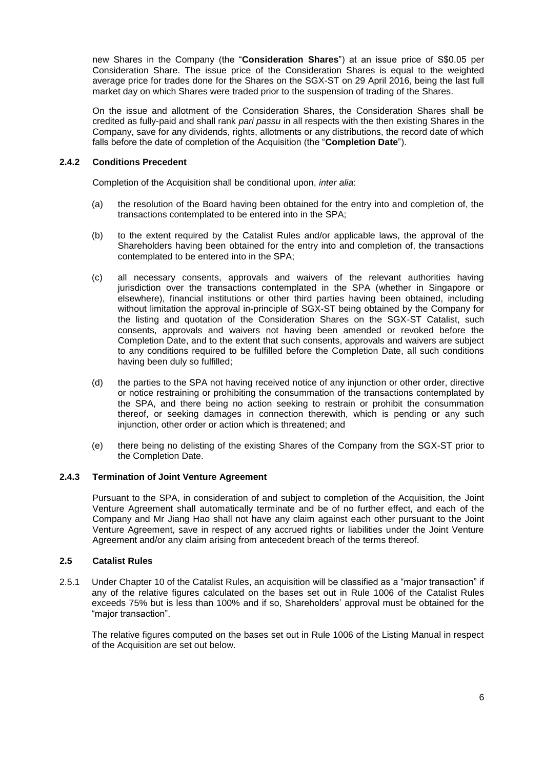new Shares in the Company (the "**Consideration Shares**") at an issue price of S\$0.05 per Consideration Share. The issue price of the Consideration Shares is equal to the weighted average price for trades done for the Shares on the SGX-ST on 29 April 2016, being the last full market day on which Shares were traded prior to the suspension of trading of the Shares.

On the issue and allotment of the Consideration Shares, the Consideration Shares shall be credited as fully-paid and shall rank *pari passu* in all respects with the then existing Shares in the Company, save for any dividends, rights, allotments or any distributions, the record date of which falls before the date of completion of the Acquisition (the "**Completion Date**").

# **2.4.2 Conditions Precedent**

Completion of the Acquisition shall be conditional upon, *inter alia*:

- (a) the resolution of the Board having been obtained for the entry into and completion of, the transactions contemplated to be entered into in the SPA;
- (b) to the extent required by the Catalist Rules and/or applicable laws, the approval of the Shareholders having been obtained for the entry into and completion of, the transactions contemplated to be entered into in the SPA;
- (c) all necessary consents, approvals and waivers of the relevant authorities having jurisdiction over the transactions contemplated in the SPA (whether in Singapore or elsewhere), financial institutions or other third parties having been obtained, including without limitation the approval in-principle of SGX-ST being obtained by the Company for the listing and quotation of the Consideration Shares on the SGX-ST Catalist, such consents, approvals and waivers not having been amended or revoked before the Completion Date, and to the extent that such consents, approvals and waivers are subject to any conditions required to be fulfilled before the Completion Date, all such conditions having been duly so fulfilled;
- (d) the parties to the SPA not having received notice of any injunction or other order, directive or notice restraining or prohibiting the consummation of the transactions contemplated by the SPA, and there being no action seeking to restrain or prohibit the consummation thereof, or seeking damages in connection therewith, which is pending or any such injunction, other order or action which is threatened; and
- (e) there being no delisting of the existing Shares of the Company from the SGX-ST prior to the Completion Date.

### **2.4.3 Termination of Joint Venture Agreement**

Pursuant to the SPA, in consideration of and subject to completion of the Acquisition, the Joint Venture Agreement shall automatically terminate and be of no further effect, and each of the Company and Mr Jiang Hao shall not have any claim against each other pursuant to the Joint Venture Agreement, save in respect of any accrued rights or liabilities under the Joint Venture Agreement and/or any claim arising from antecedent breach of the terms thereof.

### **2.5 Catalist Rules**

2.5.1 Under Chapter 10 of the Catalist Rules, an acquisition will be classified as a "major transaction" if any of the relative figures calculated on the bases set out in Rule 1006 of the Catalist Rules exceeds 75% but is less than 100% and if so, Shareholders' approval must be obtained for the "major transaction".

The relative figures computed on the bases set out in Rule 1006 of the Listing Manual in respect of the Acquisition are set out below.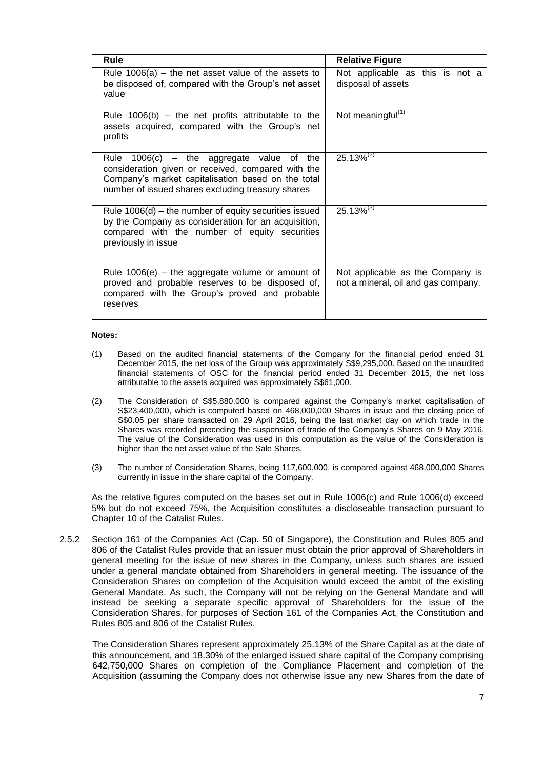| <b>Rule</b>                                                                                                                                                                                                     | <b>Relative Figure</b>                                                  |
|-----------------------------------------------------------------------------------------------------------------------------------------------------------------------------------------------------------------|-------------------------------------------------------------------------|
| Rule $1006(a)$ – the net asset value of the assets to<br>be disposed of, compared with the Group's net asset<br>value                                                                                           | Not applicable as this is not a<br>disposal of assets                   |
| Rule $1006(b)$ – the net profits attributable to the<br>assets acquired, compared with the Group's net<br>profits                                                                                               | Not meaningful <sup>(1)</sup>                                           |
| Rule $1006(c)$ – the aggregate value<br>of the<br>consideration given or received, compared with the<br>Company's market capitalisation based on the total<br>number of issued shares excluding treasury shares | $25.13\%^{(2)}$                                                         |
| Rule $1006(d)$ – the number of equity securities issued<br>by the Company as consideration for an acquisition,<br>compared with the number of equity securities<br>previously in issue                          | $25.13\%^{(3)}$                                                         |
| Rule $1006(e)$ – the aggregate volume or amount of<br>proved and probable reserves to be disposed of,<br>compared with the Group's proved and probable<br>reserves                                              | Not applicable as the Company is<br>not a mineral, oil and gas company. |

### **Notes:**

- (1) Based on the audited financial statements of the Company for the financial period ended 31 December 2015, the net loss of the Group was approximately S\$9,295,000. Based on the unaudited financial statements of OSC for the financial period ended 31 December 2015, the net loss attributable to the assets acquired was approximately S\$61,000.
- (2) The Consideration of S\$5,880,000 is compared against the Company's market capitalisation of S\$23,400,000, which is computed based on 468,000,000 Shares in issue and the closing price of S\$0.05 per share transacted on 29 April 2016, being the last market day on which trade in the Shares was recorded preceding the suspension of trade of the Company's Shares on 9 May 2016. The value of the Consideration was used in this computation as the value of the Consideration is higher than the net asset value of the Sale Shares.
- (3) The number of Consideration Shares, being 117,600,000, is compared against 468,000,000 Shares currently in issue in the share capital of the Company.

As the relative figures computed on the bases set out in Rule 1006(c) and Rule 1006(d) exceed 5% but do not exceed 75%, the Acquisition constitutes a discloseable transaction pursuant to Chapter 10 of the Catalist Rules.

2.5.2 Section 161 of the Companies Act (Cap. 50 of Singapore), the Constitution and Rules 805 and 806 of the Catalist Rules provide that an issuer must obtain the prior approval of Shareholders in general meeting for the issue of new shares in the Company, unless such shares are issued under a general mandate obtained from Shareholders in general meeting. The issuance of the Consideration Shares on completion of the Acquisition would exceed the ambit of the existing General Mandate. As such, the Company will not be relying on the General Mandate and will instead be seeking a separate specific approval of Shareholders for the issue of the Consideration Shares, for purposes of Section 161 of the Companies Act, the Constitution and Rules 805 and 806 of the Catalist Rules.

The Consideration Shares represent approximately 25.13% of the Share Capital as at the date of this announcement, and 18.30% of the enlarged issued share capital of the Company comprising 642,750,000 Shares on completion of the Compliance Placement and completion of the Acquisition (assuming the Company does not otherwise issue any new Shares from the date of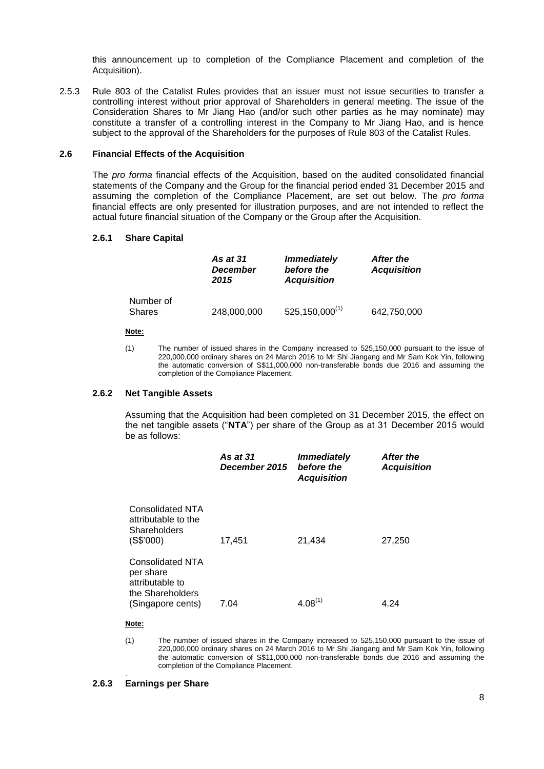this announcement up to completion of the Compliance Placement and completion of the Acquisition).

2.5.3 Rule 803 of the Catalist Rules provides that an issuer must not issue securities to transfer a controlling interest without prior approval of Shareholders in general meeting. The issue of the Consideration Shares to Mr Jiang Hao (and/or such other parties as he may nominate) may constitute a transfer of a controlling interest in the Company to Mr Jiang Hao, and is hence subject to the approval of the Shareholders for the purposes of Rule 803 of the Catalist Rules.

## **2.6 Financial Effects of the Acquisition**

The *pro forma* financial effects of the Acquisition, based on the audited consolidated financial statements of the Company and the Group for the financial period ended 31 December 2015 and assuming the completion of the Compliance Placement, are set out below. The *pro forma*  financial effects are only presented for illustration purposes, and are not intended to reflect the actual future financial situation of the Company or the Group after the Acquisition.

#### **2.6.1 Share Capital**

|                            | <b>As at 31</b><br><b>December</b><br>2015 | <b>Immediately</b><br>before the<br><b>Acquisition</b> | After the<br><b>Acquisition</b> |
|----------------------------|--------------------------------------------|--------------------------------------------------------|---------------------------------|
| Number of<br><b>Shares</b> | 248,000,000                                | $525, 150,000^{(1)}$                                   | 642,750,000                     |

#### **Note:**

(1) The number of issued shares in the Company increased to 525,150,000 pursuant to the issue of 220,000,000 ordinary shares on 24 March 2016 to Mr Shi Jiangang and Mr Sam Kok Yin, following the automatic conversion of S\$11,000,000 non-transferable bonds due 2016 and assuming the completion of the Compliance Placement.

### **2.6.2 Net Tangible Assets**

Assuming that the Acquisition had been completed on 31 December 2015, the effect on the net tangible assets ("**NTA**") per share of the Group as at 31 December 2015 would be as follows:

|                                                                                                  | <b>As at 31</b><br>December 2015 | <b>Immediately</b><br>before the<br><b>Acquisition</b> | After the<br><b>Acquisition</b> |
|--------------------------------------------------------------------------------------------------|----------------------------------|--------------------------------------------------------|---------------------------------|
| <b>Consolidated NTA</b><br>attributable to the<br>Shareholders<br>(S\$'000)                      | 17,451                           | 21,434                                                 | 27,250                          |
| <b>Consolidated NTA</b><br>per share<br>attributable to<br>the Shareholders<br>(Singapore cents) | 7.04                             | $4.08^{(1)}$                                           | 4.24                            |

#### **Note:**

.

(1) The number of issued shares in the Company increased to 525,150,000 pursuant to the issue of 220,000,000 ordinary shares on 24 March 2016 to Mr Shi Jiangang and Mr Sam Kok Yin, following the automatic conversion of S\$11,000,000 non-transferable bonds due 2016 and assuming the completion of the Compliance Placement.

### **2.6.3 Earnings per Share**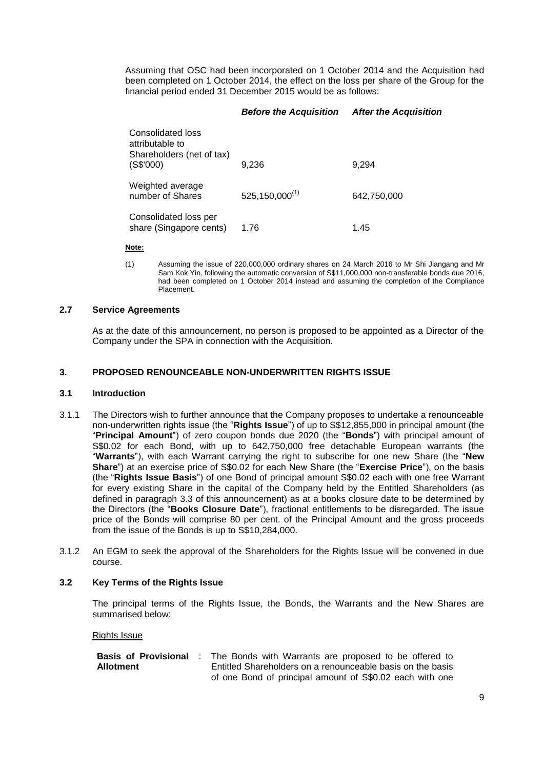Assuming that OSC had been incorporated on 1 October 2014 and the Acquisition had been completed on 1 October 2014, the effect on the loss per share of the Group for the financial period ended 31 December 2015 would be as follows:

# *Before the Acquisition After the Acquisition*

| Consolidated loss<br>attributable to<br>Shareholders (net of tax)<br>(S\$'000) | 9.236                 | 9.294       |
|--------------------------------------------------------------------------------|-----------------------|-------------|
| Weighted average<br>number of Shares                                           | $525, 150, 000^{(1)}$ | 642,750,000 |
| Consolidated loss per<br>share (Singapore cents)                               | 1.76                  | 1.45        |

#### **Note:**

(1) Assuming the issue of 220,000,000 ordinary shares on 24 March 2016 to Mr Shi Jiangang and Mr Sam Kok Yin, following the automatic conversion of S\$11,000,000 non-transferable bonds due 2016, had been completed on 1 October 2014 instead and assuming the completion of the Compliance Placement.

### **2.7 Service Agreements**

As at the date of this announcement, no person is proposed to be appointed as a Director of the Company under the SPA in connection with the Acquisition.

# **3. PROPOSED RENOUNCEABLE NON-UNDERWRITTEN RIGHTS ISSUE**

### **3.1 Introduction**

- 3.1.1 The Directors wish to further announce that the Company proposes to undertake a renounceable non-underwritten rights issue (the "**Rights Issue**") of up to S\$12,855,000 in principal amount (the "**Principal Amount**") of zero coupon bonds due 2020 (the "**Bonds**") with principal amount of S\$0.02 for each Bond, with up to 642,750,000 free detachable European warrants (the "**Warrants**"), with each Warrant carrying the right to subscribe for one new Share (the "**New Share**") at an exercise price of S\$0.02 for each New Share (the "**Exercise Price**"), on the basis (the "**Rights Issue Basis**") of one Bond of principal amount S\$0.02 each with one free Warrant for every existing Share in the capital of the Company held by the Entitled Shareholders (as defined in paragraph 3.3 of this announcement) as at a books closure date to be determined by the Directors (the "**Books Closure Date**"), fractional entitlements to be disregarded. The issue price of the Bonds will comprise 80 per cent. of the Principal Amount and the gross proceeds from the issue of the Bonds is up to S\$10,284,000.
- 3.1.2 An EGM to seek the approval of the Shareholders for the Rights Issue will be convened in due course.

### **3.2 Key Terms of the Rights Issue**

The principal terms of the Rights Issue, the Bonds, the Warrants and the New Shares are summarised below:

### Rights Issue

|           | <b>Basis of Provisional</b> : The Bonds with Warrants are proposed to be offered to |
|-----------|-------------------------------------------------------------------------------------|
| Allotment | Entitled Shareholders on a renounceable basis on the basis                          |
|           | of one Bond of principal amount of S\$0.02 each with one                            |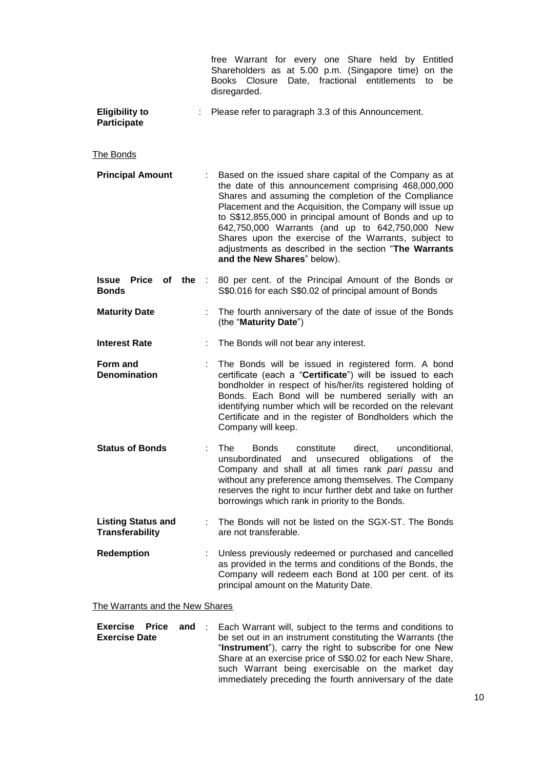|                                                     | free Warrant for every one Share held by Entitled<br>Shareholders as at 5.00 p.m. (Singapore time) on the<br>Date, fractional entitlements<br>Books<br>Closure<br>to<br>be<br>disregarded.                                                                                                                                                                                                                                                                                                       |
|-----------------------------------------------------|--------------------------------------------------------------------------------------------------------------------------------------------------------------------------------------------------------------------------------------------------------------------------------------------------------------------------------------------------------------------------------------------------------------------------------------------------------------------------------------------------|
| <b>Eligibility to</b><br><b>Participate</b>         | Please refer to paragraph 3.3 of this Announcement.                                                                                                                                                                                                                                                                                                                                                                                                                                              |
| The Bonds                                           |                                                                                                                                                                                                                                                                                                                                                                                                                                                                                                  |
| <b>Principal Amount</b>                             | Based on the issued share capital of the Company as at<br>the date of this announcement comprising 468,000,000<br>Shares and assuming the completion of the Compliance<br>Placement and the Acquisition, the Company will issue up<br>to S\$12,855,000 in principal amount of Bonds and up to<br>642,750,000 Warrants (and up to 642,750,000 New<br>Shares upon the exercise of the Warrants, subject to<br>adjustments as described in the section "The Warrants<br>and the New Shares" below). |
| Price<br>of the<br>Issue<br><b>Bonds</b>            | 80 per cent. of the Principal Amount of the Bonds or<br>S\$0.016 for each S\$0.02 of principal amount of Bonds                                                                                                                                                                                                                                                                                                                                                                                   |
| <b>Maturity Date</b>                                | The fourth anniversary of the date of issue of the Bonds<br>(the "Maturity Date")                                                                                                                                                                                                                                                                                                                                                                                                                |
| <b>Interest Rate</b>                                | The Bonds will not bear any interest.                                                                                                                                                                                                                                                                                                                                                                                                                                                            |
| Form and<br><b>Denomination</b>                     | The Bonds will be issued in registered form. A bond<br>certificate (each a "Certificate") will be issued to each<br>bondholder in respect of his/her/its registered holding of<br>Bonds. Each Bond will be numbered serially with an<br>identifying number which will be recorded on the relevant<br>Certificate and in the register of Bondholders which the<br>Company will keep.                                                                                                              |
| <b>Status of Bonds</b>                              | The<br><b>Bonds</b><br>constitute<br>direct,<br>unconditional,<br>and unsecured obligations of the<br>unsubordinated<br>Company and shall at all times rank pari passu and<br>without any preference among themselves. The Company<br>reserves the right to incur further debt and take on further<br>borrowings which rank in priority to the Bonds.                                                                                                                                            |
| <b>Listing Status and</b><br><b>Transferability</b> | The Bonds will not be listed on the SGX-ST. The Bonds<br>are not transferable.                                                                                                                                                                                                                                                                                                                                                                                                                   |
| <b>Redemption</b>                                   | Unless previously redeemed or purchased and cancelled<br>as provided in the terms and conditions of the Bonds, the<br>Company will redeem each Bond at 100 per cent. of its<br>principal amount on the Maturity Date.                                                                                                                                                                                                                                                                            |
| The Warrants and the New Shares                     |                                                                                                                                                                                                                                                                                                                                                                                                                                                                                                  |

**Exercise** Price and : Each Warrant will, subject to the terms and conditions to **Exercise Date** be set out in an instrument constituting the Warrants (the "**Instrument**"), carry the right to subscribe for one New Share at an exercise price of S\$0.02 for each New Share, such Warrant being exercisable on the market day immediately preceding the fourth anniversary of the date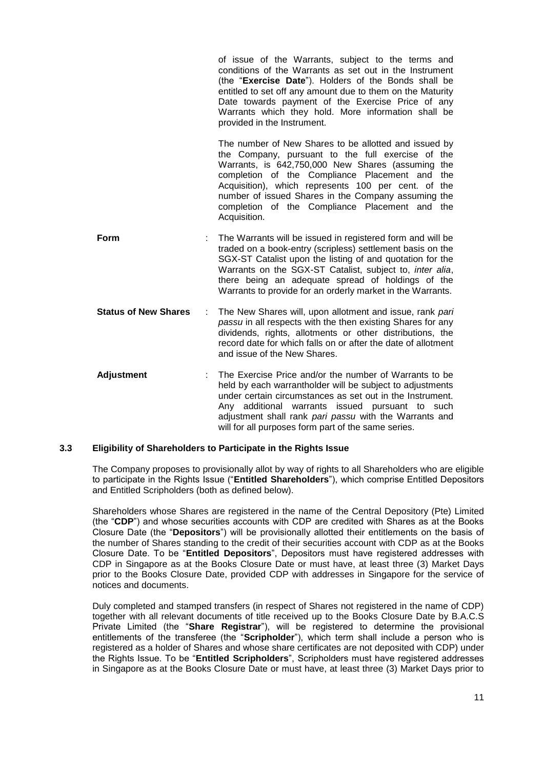|                             | of issue of the Warrants, subject to the terms and<br>conditions of the Warrants as set out in the Instrument<br>(the "Exercise Date"). Holders of the Bonds shall be<br>entitled to set off any amount due to them on the Maturity<br>Date towards payment of the Exercise Price of any<br>Warrants which they hold. More information shall be<br>provided in the Instrument.                       |
|-----------------------------|------------------------------------------------------------------------------------------------------------------------------------------------------------------------------------------------------------------------------------------------------------------------------------------------------------------------------------------------------------------------------------------------------|
|                             | The number of New Shares to be allotted and issued by<br>the Company, pursuant to the full exercise of the<br>Warrants, is 642,750,000 New Shares (assuming the<br>completion of the Compliance Placement and<br>the<br>Acquisition), which represents 100 per cent. of the<br>number of issued Shares in the Company assuming the<br>completion of the Compliance Placement and the<br>Acquisition. |
| Form                        | The Warrants will be issued in registered form and will be<br>traded on a book-entry (scripless) settlement basis on the<br>SGX-ST Catalist upon the listing of and quotation for the<br>Warrants on the SGX-ST Catalist, subject to, inter alia,<br>there being an adequate spread of holdings of the<br>Warrants to provide for an orderly market in the Warrants.                                 |
| <b>Status of New Shares</b> | The New Shares will, upon allotment and issue, rank pari<br>passu in all respects with the then existing Shares for any<br>dividends, rights, allotments or other distributions, the<br>record date for which falls on or after the date of allotment<br>and issue of the New Shares.                                                                                                                |
| <b>Adjustment</b>           | The Exercise Price and/or the number of Warrants to be<br>held by each warrantholder will be subject to adjustments<br>under certain circumstances as set out in the Instrument.<br>Any additional warrants issued pursuant to<br>such<br>adjustment shall rank pari passu with the Warrants and                                                                                                     |

### **3.3 Eligibility of Shareholders to Participate in the Rights Issue**

The Company proposes to provisionally allot by way of rights to all Shareholders who are eligible to participate in the Rights Issue ("**Entitled Shareholders**"), which comprise Entitled Depositors and Entitled Scripholders (both as defined below).

will for all purposes form part of the same series.

Shareholders whose Shares are registered in the name of the Central Depository (Pte) Limited (the "**CDP**") and whose securities accounts with CDP are credited with Shares as at the Books Closure Date (the "**Depositors**") will be provisionally allotted their entitlements on the basis of the number of Shares standing to the credit of their securities account with CDP as at the Books Closure Date. To be "**Entitled Depositors**", Depositors must have registered addresses with CDP in Singapore as at the Books Closure Date or must have, at least three (3) Market Days prior to the Books Closure Date, provided CDP with addresses in Singapore for the service of notices and documents.

Duly completed and stamped transfers (in respect of Shares not registered in the name of CDP) together with all relevant documents of title received up to the Books Closure Date by B.A.C.S Private Limited (the "**Share Registrar**"), will be registered to determine the provisional entitlements of the transferee (the "**Scripholder**"), which term shall include a person who is registered as a holder of Shares and whose share certificates are not deposited with CDP) under the Rights Issue. To be "**Entitled Scripholders**", Scripholders must have registered addresses in Singapore as at the Books Closure Date or must have, at least three (3) Market Days prior to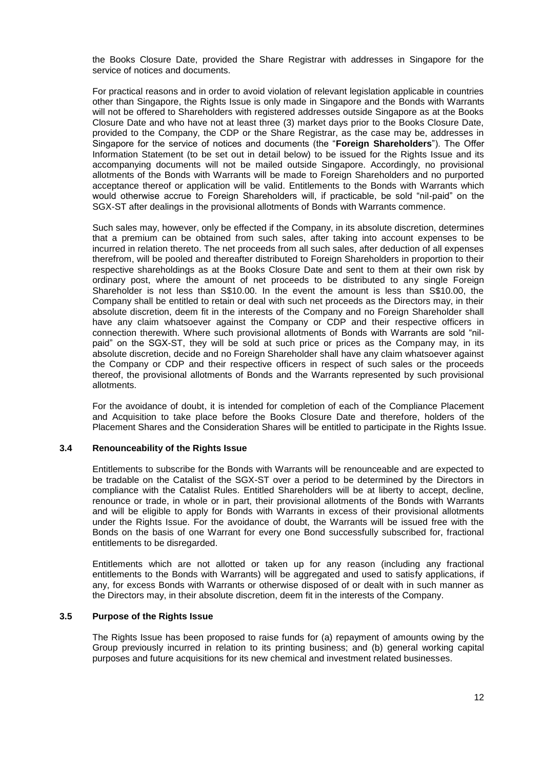the Books Closure Date, provided the Share Registrar with addresses in Singapore for the service of notices and documents.

For practical reasons and in order to avoid violation of relevant legislation applicable in countries other than Singapore, the Rights Issue is only made in Singapore and the Bonds with Warrants will not be offered to Shareholders with registered addresses outside Singapore as at the Books Closure Date and who have not at least three (3) market days prior to the Books Closure Date, provided to the Company, the CDP or the Share Registrar, as the case may be, addresses in Singapore for the service of notices and documents (the "**Foreign Shareholders**"). The Offer Information Statement (to be set out in detail below) to be issued for the Rights Issue and its accompanying documents will not be mailed outside Singapore. Accordingly, no provisional allotments of the Bonds with Warrants will be made to Foreign Shareholders and no purported acceptance thereof or application will be valid. Entitlements to the Bonds with Warrants which would otherwise accrue to Foreign Shareholders will, if practicable, be sold "nil-paid" on the SGX-ST after dealings in the provisional allotments of Bonds with Warrants commence.

Such sales may, however, only be effected if the Company, in its absolute discretion, determines that a premium can be obtained from such sales, after taking into account expenses to be incurred in relation thereto. The net proceeds from all such sales, after deduction of all expenses therefrom, will be pooled and thereafter distributed to Foreign Shareholders in proportion to their respective shareholdings as at the Books Closure Date and sent to them at their own risk by ordinary post, where the amount of net proceeds to be distributed to any single Foreign Shareholder is not less than S\$10.00. In the event the amount is less than S\$10.00, the Company shall be entitled to retain or deal with such net proceeds as the Directors may, in their absolute discretion, deem fit in the interests of the Company and no Foreign Shareholder shall have any claim whatsoever against the Company or CDP and their respective officers in connection therewith. Where such provisional allotments of Bonds with Warrants are sold "nilpaid" on the SGX-ST, they will be sold at such price or prices as the Company may, in its absolute discretion, decide and no Foreign Shareholder shall have any claim whatsoever against the Company or CDP and their respective officers in respect of such sales or the proceeds thereof, the provisional allotments of Bonds and the Warrants represented by such provisional allotments.

For the avoidance of doubt, it is intended for completion of each of the Compliance Placement and Acquisition to take place before the Books Closure Date and therefore, holders of the Placement Shares and the Consideration Shares will be entitled to participate in the Rights Issue.

### **3.4 Renounceability of the Rights Issue**

Entitlements to subscribe for the Bonds with Warrants will be renounceable and are expected to be tradable on the Catalist of the SGX-ST over a period to be determined by the Directors in compliance with the Catalist Rules. Entitled Shareholders will be at liberty to accept, decline, renounce or trade, in whole or in part, their provisional allotments of the Bonds with Warrants and will be eligible to apply for Bonds with Warrants in excess of their provisional allotments under the Rights Issue. For the avoidance of doubt, the Warrants will be issued free with the Bonds on the basis of one Warrant for every one Bond successfully subscribed for, fractional entitlements to be disregarded.

Entitlements which are not allotted or taken up for any reason (including any fractional entitlements to the Bonds with Warrants) will be aggregated and used to satisfy applications, if any, for excess Bonds with Warrants or otherwise disposed of or dealt with in such manner as the Directors may, in their absolute discretion, deem fit in the interests of the Company.

#### **3.5 Purpose of the Rights Issue**

The Rights Issue has been proposed to raise funds for (a) repayment of amounts owing by the Group previously incurred in relation to its printing business; and (b) general working capital purposes and future acquisitions for its new chemical and investment related businesses.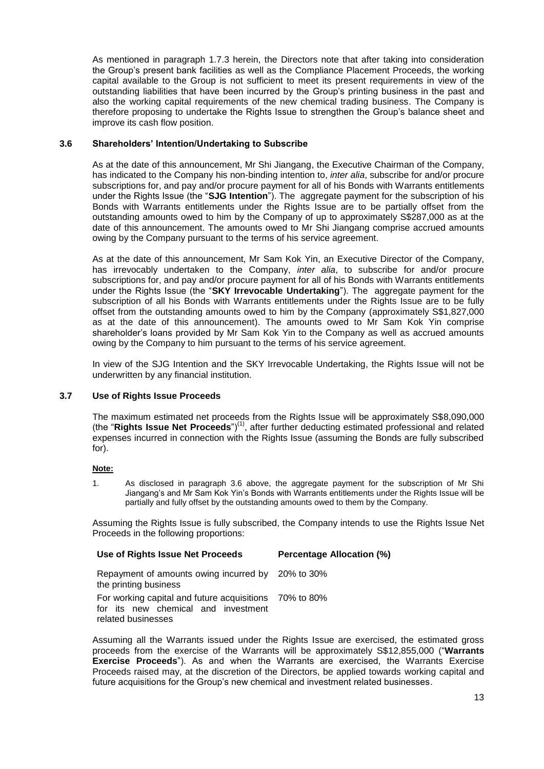As mentioned in paragraph 1.7.3 herein, the Directors note that after taking into consideration the Group's present bank facilities as well as the Compliance Placement Proceeds, the working capital available to the Group is not sufficient to meet its present requirements in view of the outstanding liabilities that have been incurred by the Group's printing business in the past and also the working capital requirements of the new chemical trading business. The Company is therefore proposing to undertake the Rights Issue to strengthen the Group's balance sheet and improve its cash flow position.

# **3.6 Shareholders' Intention/Undertaking to Subscribe**

As at the date of this announcement, Mr Shi Jiangang, the Executive Chairman of the Company, has indicated to the Company his non-binding intention to, *inter alia*, subscribe for and/or procure subscriptions for, and pay and/or procure payment for all of his Bonds with Warrants entitlements under the Rights Issue (the "**SJG Intention**"). The aggregate payment for the subscription of his Bonds with Warrants entitlements under the Rights Issue are to be partially offset from the outstanding amounts owed to him by the Company of up to approximately S\$287,000 as at the date of this announcement. The amounts owed to Mr Shi Jiangang comprise accrued amounts owing by the Company pursuant to the terms of his service agreement.

As at the date of this announcement, Mr Sam Kok Yin, an Executive Director of the Company, has irrevocably undertaken to the Company, *inter alia*, to subscribe for and/or procure subscriptions for, and pay and/or procure payment for all of his Bonds with Warrants entitlements under the Rights Issue (the "**SKY Irrevocable Undertaking**"). The aggregate payment for the subscription of all his Bonds with Warrants entitlements under the Rights Issue are to be fully offset from the outstanding amounts owed to him by the Company (approximately S\$1,827,000 as at the date of this announcement). The amounts owed to Mr Sam Kok Yin comprise shareholder's loans provided by Mr Sam Kok Yin to the Company as well as accrued amounts owing by the Company to him pursuant to the terms of his service agreement.

In view of the SJG Intention and the SKY Irrevocable Undertaking, the Rights Issue will not be underwritten by any financial institution.

# **3.7 Use of Rights Issue Proceeds**

The maximum estimated net proceeds from the Rights Issue will be approximately S\$8,090,000 (the "**Rights Issue Net Proceeds**")(1), after further deducting estimated professional and related expenses incurred in connection with the Rights Issue (assuming the Bonds are fully subscribed for).

### **Note:**

1. As disclosed in paragraph 3.6 above, the aggregate payment for the subscription of Mr Shi Jiangang's and Mr Sam Kok Yin's Bonds with Warrants entitlements under the Rights Issue will be partially and fully offset by the outstanding amounts owed to them by the Company.

Assuming the Rights Issue is fully subscribed, the Company intends to use the Rights Issue Net Proceeds in the following proportions:

| Use of Rights Issue Net Proceeds                                                                                    | <b>Percentage Allocation (%)</b> |
|---------------------------------------------------------------------------------------------------------------------|----------------------------------|
| Repayment of amounts owing incurred by 20% to 30%<br>the printing business                                          |                                  |
| For working capital and future acquisitions 70% to 80%<br>for its new chemical and investment<br>related businesses |                                  |

Assuming all the Warrants issued under the Rights Issue are exercised, the estimated gross proceeds from the exercise of the Warrants will be approximately S\$12,855,000 ("**Warrants Exercise Proceeds**"). As and when the Warrants are exercised, the Warrants Exercise Proceeds raised may, at the discretion of the Directors, be applied towards working capital and future acquisitions for the Group's new chemical and investment related businesses.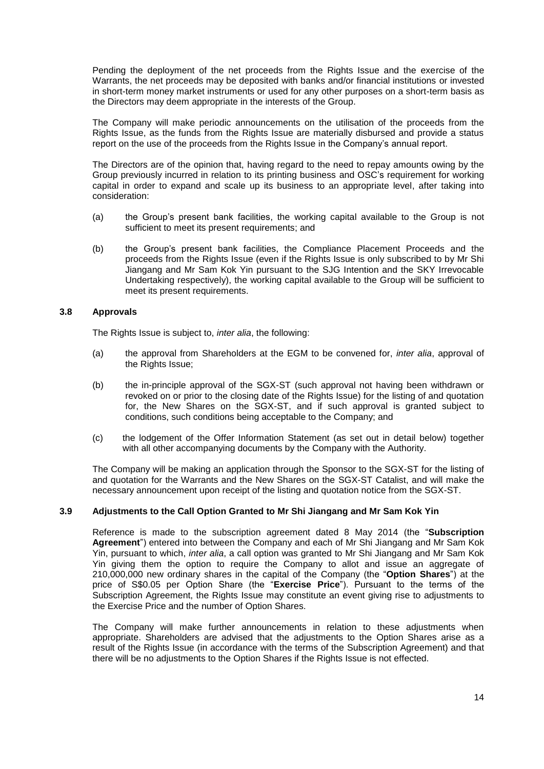Pending the deployment of the net proceeds from the Rights Issue and the exercise of the Warrants, the net proceeds may be deposited with banks and/or financial institutions or invested in short-term money market instruments or used for any other purposes on a short-term basis as the Directors may deem appropriate in the interests of the Group.

The Company will make periodic announcements on the utilisation of the proceeds from the Rights Issue, as the funds from the Rights Issue are materially disbursed and provide a status report on the use of the proceeds from the Rights Issue in the Company's annual report.

The Directors are of the opinion that, having regard to the need to repay amounts owing by the Group previously incurred in relation to its printing business and OSC's requirement for working capital in order to expand and scale up its business to an appropriate level, after taking into consideration:

- (a) the Group's present bank facilities, the working capital available to the Group is not sufficient to meet its present requirements; and
- (b) the Group's present bank facilities, the Compliance Placement Proceeds and the proceeds from the Rights Issue (even if the Rights Issue is only subscribed to by Mr Shi Jiangang and Mr Sam Kok Yin pursuant to the SJG Intention and the SKY Irrevocable Undertaking respectively), the working capital available to the Group will be sufficient to meet its present requirements.

### **3.8 Approvals**

The Rights Issue is subject to, *inter alia*, the following:

- (a) the approval from Shareholders at the EGM to be convened for, *inter alia*, approval of the Rights Issue;
- (b) the in-principle approval of the SGX-ST (such approval not having been withdrawn or revoked on or prior to the closing date of the Rights Issue) for the listing of and quotation for, the New Shares on the SGX-ST, and if such approval is granted subject to conditions, such conditions being acceptable to the Company; and
- (c) the lodgement of the Offer Information Statement (as set out in detail below) together with all other accompanying documents by the Company with the Authority.

The Company will be making an application through the Sponsor to the SGX-ST for the listing of and quotation for the Warrants and the New Shares on the SGX-ST Catalist, and will make the necessary announcement upon receipt of the listing and quotation notice from the SGX-ST.

### **3.9 Adjustments to the Call Option Granted to Mr Shi Jiangang and Mr Sam Kok Yin**

Reference is made to the subscription agreement dated 8 May 2014 (the "**Subscription Agreement**") entered into between the Company and each of Mr Shi Jiangang and Mr Sam Kok Yin, pursuant to which, *inter alia*, a call option was granted to Mr Shi Jiangang and Mr Sam Kok Yin giving them the option to require the Company to allot and issue an aggregate of 210,000,000 new ordinary shares in the capital of the Company (the "**Option Shares**") at the price of S\$0.05 per Option Share (the "**Exercise Price**"). Pursuant to the terms of the Subscription Agreement, the Rights Issue may constitute an event giving rise to adjustments to the Exercise Price and the number of Option Shares.

The Company will make further announcements in relation to these adjustments when appropriate. Shareholders are advised that the adjustments to the Option Shares arise as a result of the Rights Issue (in accordance with the terms of the Subscription Agreement) and that there will be no adjustments to the Option Shares if the Rights Issue is not effected.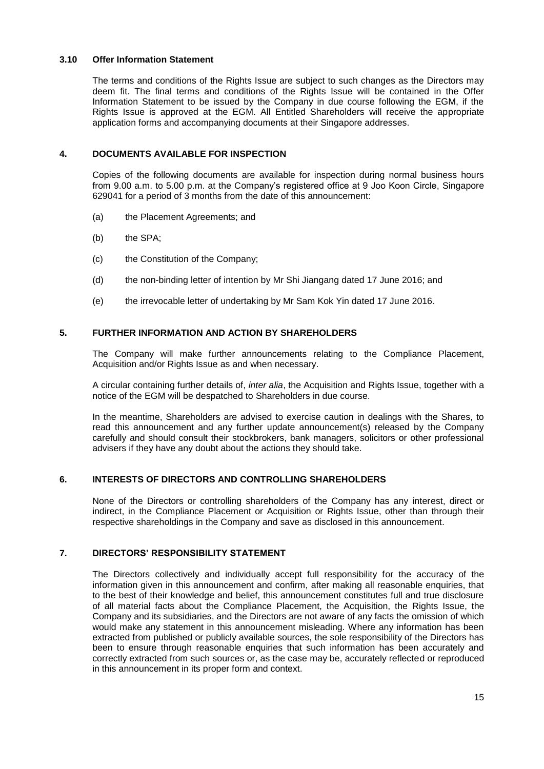# **3.10 Offer Information Statement**

The terms and conditions of the Rights Issue are subject to such changes as the Directors may deem fit. The final terms and conditions of the Rights Issue will be contained in the Offer Information Statement to be issued by the Company in due course following the EGM, if the Rights Issue is approved at the EGM. All Entitled Shareholders will receive the appropriate application forms and accompanying documents at their Singapore addresses.

# **4. DOCUMENTS AVAILABLE FOR INSPECTION**

Copies of the following documents are available for inspection during normal business hours from 9.00 a.m. to 5.00 p.m. at the Company's registered office at 9 Joo Koon Circle, Singapore 629041 for a period of 3 months from the date of this announcement:

- (a) the Placement Agreements; and
- (b) the SPA:
- (c) the Constitution of the Company;
- (d) the non-binding letter of intention by Mr Shi Jiangang dated 17 June 2016; and
- (e) the irrevocable letter of undertaking by Mr Sam Kok Yin dated 17 June 2016.

# **5. FURTHER INFORMATION AND ACTION BY SHAREHOLDERS**

The Company will make further announcements relating to the Compliance Placement, Acquisition and/or Rights Issue as and when necessary.

A circular containing further details of, *inter alia*, the Acquisition and Rights Issue, together with a notice of the EGM will be despatched to Shareholders in due course.

In the meantime, Shareholders are advised to exercise caution in dealings with the Shares, to read this announcement and any further update announcement(s) released by the Company carefully and should consult their stockbrokers, bank managers, solicitors or other professional advisers if they have any doubt about the actions they should take.

### **6. INTERESTS OF DIRECTORS AND CONTROLLING SHAREHOLDERS**

None of the Directors or controlling shareholders of the Company has any interest, direct or indirect, in the Compliance Placement or Acquisition or Rights Issue, other than through their respective shareholdings in the Company and save as disclosed in this announcement.

# **7. DIRECTORS' RESPONSIBILITY STATEMENT**

The Directors collectively and individually accept full responsibility for the accuracy of the information given in this announcement and confirm, after making all reasonable enquiries, that to the best of their knowledge and belief, this announcement constitutes full and true disclosure of all material facts about the Compliance Placement, the Acquisition, the Rights Issue, the Company and its subsidiaries, and the Directors are not aware of any facts the omission of which would make any statement in this announcement misleading. Where any information has been extracted from published or publicly available sources, the sole responsibility of the Directors has been to ensure through reasonable enquiries that such information has been accurately and correctly extracted from such sources or, as the case may be, accurately reflected or reproduced in this announcement in its proper form and context.